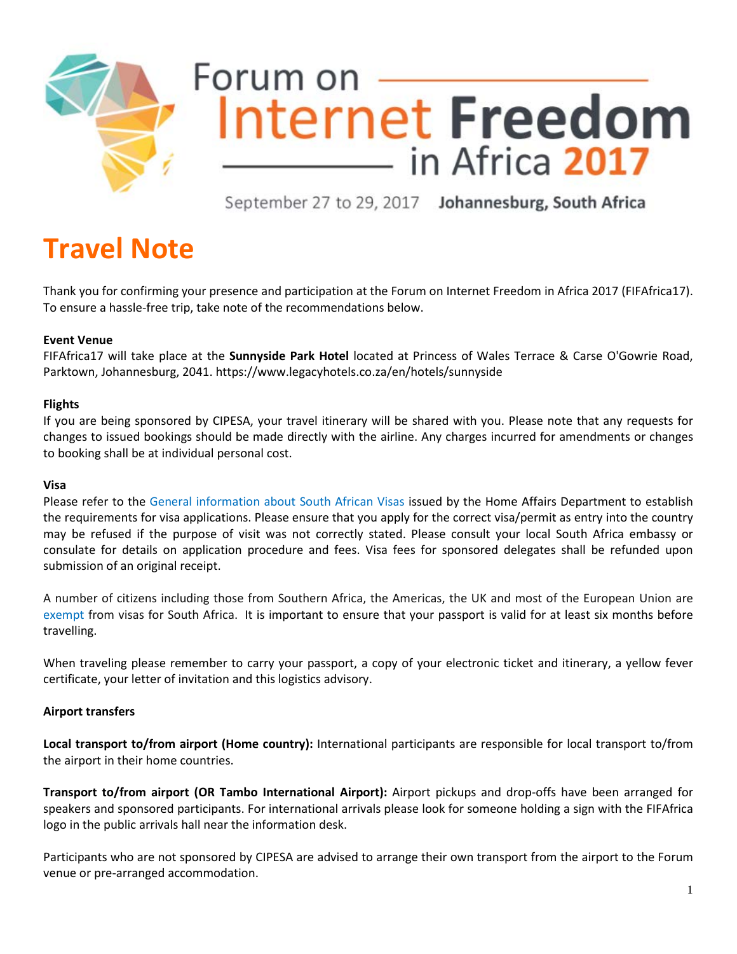

# Forum on Internet Freedom in Africa 2017

September 27 to 29, 2017 Johannesburg, South Africa

# **Travel Note**

Thank you for confirming your presence and participation at the Forum on Internet Freedom in Africa 2017 (FIFAfrica17). To ensure a hassle-free trip, take note of the recommendations below.

# **Event Venue**

FIFAfrica17 will take place at the **Sunnyside Park Hotel** located at Princess of Wales Terrace & Carse O'Gowrie Road, Parktown, Johannesburg, 2041.<https://www.legacyhotels.co.za/en/hotels/sunnyside>

# **Flights**

If you are being sponsored by CIPESA, your travel itinerary will be shared with you. Please note that any requests for changes to issued bookings should be made directly with the airline. Any charges incurred for amendments or changes to booking shall be at individual personal cost.

# **Visa**

Please refer to the [General information about South African Visas i](http://www.dha.gov.za/index.php/applying-for-sa-visa)ssued by the Home Affairs Department to establish the requirements for visa applications. Please ensure that you apply for the correct visa/permit as entry into the country may be refused if the purpose of visit was not correctly stated. Please consult your local South Africa embassy or consulate for details on application procedure and fees. Visa fees for sponsored delegates shall be refunded upon submission of an original receipt.

A number of citizens including those from Southern Africa, the Americas, the UK and most of the European Union are [exempt](http://www.dha.gov.za/index.php/countries-exempt-from-sa-visas) from visas for South Africa. It is important to ensure that your passport is valid for at least six months before travelling.

When traveling please remember to carry your passport, a copy of your electronic ticket and itinerary, a yellow fever certificate, your letter of invitation and this logistics advisory.

# **Airport transfers**

**Local transport to/from airport (Home country):** International participants are responsible for local transport to/from the airport in their home countries.

**Transport to/from airport (OR Tambo International Airport):** Airport pickups and drop-offs have been arranged for speakers and sponsored participants. For international arrivals please look for someone holding a sign with the FIFAfrica logo in the public arrivals hall near the information desk.

Participants who are not sponsored by CIPESA are advised to arrange their own transport from the airport to the Forum venue or pre-arranged accommodation.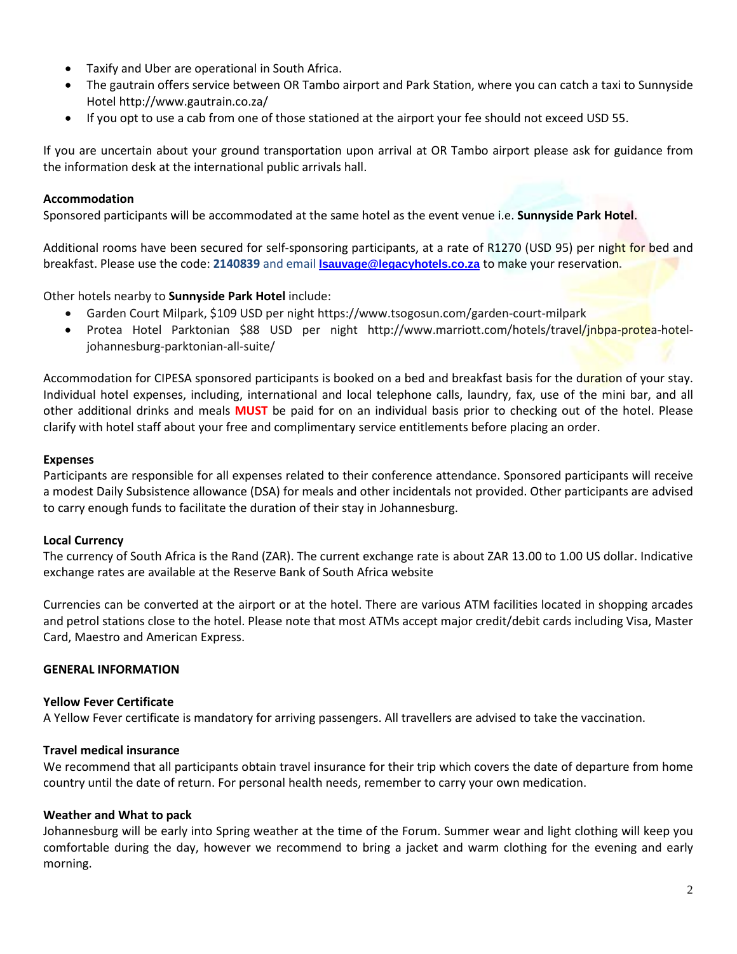- Taxify and Uber are operational in South Africa.
- The gautrain offers service between OR Tambo airport and Park Station, where you can catch a taxi to Sunnyside Hotel<http://www.gautrain.co.za/>
- If you opt to use a cab from one of those stationed at the airport your fee should not exceed USD 55.

If you are uncertain about your ground transportation upon arrival at OR Tambo airport please ask for guidance from the information desk at the international public arrivals hall.

#### **Accommodation**

Sponsored participants will be accommodated at the same hotel as the event venue i.e. **Sunnyside Park Hotel**.

Additional rooms have been secured for self-sponsoring participants, at a rate of R1270 (USD 95) per night for bed and breakfast. Please use the code: **2140839** and email **[lsauvage@legacyhotels.co.za](mailto:lsauvage@legacyhotels.co.za)** to make your reservation**.**

Other hotels nearby to **Sunnyside Park Hotel** include:

- Garden Court Milpark, \$109 USD per nigh[t https://www.tsogosun.com/garden-court-milpark](https://www.tsogosun.com/garden-court-milpark)
- Protea Hotel Parktonian \$88 USD per night [http://www.marriott.com/hotels/travel/jnbpa-protea-hotel](http://www.marriott.com/hotels/travel/jnbpa-protea-hotel-johannesburg-parktonian-all-suite/)[johannesburg-parktonian-all-suite/](http://www.marriott.com/hotels/travel/jnbpa-protea-hotel-johannesburg-parktonian-all-suite/)

Accommodation for CIPESA sponsored participants is booked on a bed and breakfast basis for the duration of your stay. Individual hotel expenses, including, international and local telephone calls, laundry, fax, use of the mini bar, and all other additional drinks and meals **MUST** be paid for on an individual basis prior to checking out of the hotel. Please clarify with hotel staff about your free and complimentary service entitlements before placing an order.

#### **Expenses**

Participants are responsible for all expenses related to their conference attendance. Sponsored participants will receive a modest Daily Subsistence allowance (DSA) for meals and other incidentals not provided. Other participants are advised to carry enough funds to facilitate the duration of their stay in Johannesburg.

#### **Local Currency**

The currency of South Africa is the Rand (ZAR). The current exchange rate is about ZAR 13.00 to 1.00 US dollar. Indicative exchange rates are available at the [Reserve Bank of South Africa website](https://www.resbank.co.za/Research/Rates/Pages/SelectedHistoricalExchangeAndInterestRates.aspx)

Currencies can be converted at the airport or at the hotel. There are various ATM facilities located in shopping arcades and petrol stations close to the hotel. Please note that most ATMs accept major credit/debit cards including Visa, Master Card, Maestro and American Express.

#### **GENERAL INFORMATION**

#### **Yellow Fever Certificate**

A Yellow Fever certificate is mandatory for arriving passengers. All travellers are advised to take the vaccination.

#### **Travel medical insurance**

We recommend that all participants obtain travel insurance for their trip which covers the date of departure from home country until the date of return. For personal health needs, remember to carry your own medication.

#### **Weather and What to pack**

Johannesburg will be early into Spring weather at the time of the Forum. Summer wear and light clothing will keep you comfortable during the day, however we recommend to bring a jacket and warm clothing for the evening and early morning.